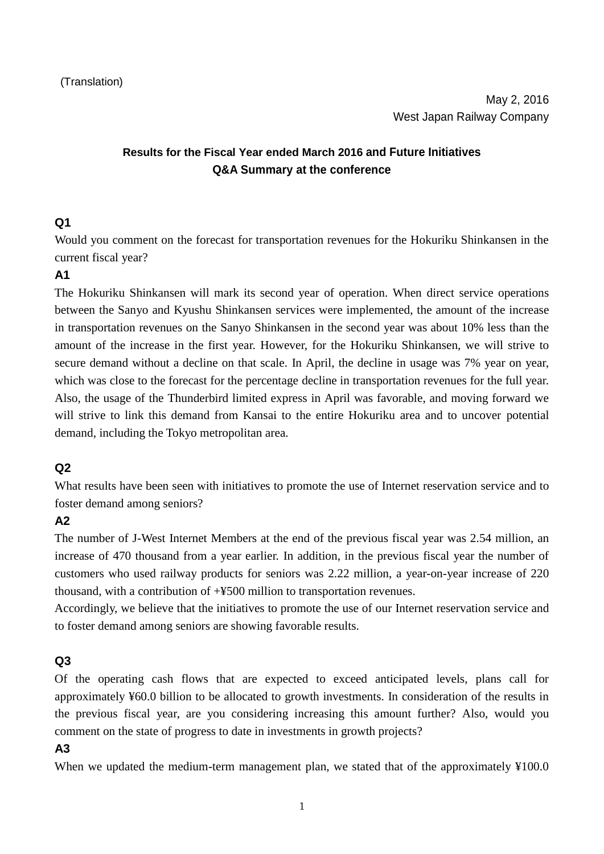# **Results for the Fiscal Year ended March 2016 and Future Initiatives Q&A Summary at the conference**

### **Q1**

Would you comment on the forecast for transportation revenues for the Hokuriku Shinkansen in the current fiscal year?

# **A1**

The Hokuriku Shinkansen will mark its second year of operation. When direct service operations between the Sanyo and Kyushu Shinkansen services were implemented, the amount of the increase in transportation revenues on the Sanyo Shinkansen in the second year was about 10% less than the amount of the increase in the first year. However, for the Hokuriku Shinkansen, we will strive to secure demand without a decline on that scale. In April, the decline in usage was 7% year on year, which was close to the forecast for the percentage decline in transportation revenues for the full year. Also, the usage of the Thunderbird limited express in April was favorable, and moving forward we will strive to link this demand from Kansai to the entire Hokuriku area and to uncover potential demand, including the Tokyo metropolitan area.

### **Q2**

What results have been seen with initiatives to promote the use of Internet reservation service and to foster demand among seniors?

### **A2**

The number of J-West Internet Members at the end of the previous fiscal year was 2.54 million, an increase of 470 thousand from a year earlier. In addition, in the previous fiscal year the number of customers who used railway products for seniors was 2.22 million, a year-on-year increase of 220 thousand, with a contribution of +¥500 million to transportation revenues.

Accordingly, we believe that the initiatives to promote the use of our Internet reservation service and to foster demand among seniors are showing favorable results.

### **Q3**

Of the operating cash flows that are expected to exceed anticipated levels, plans call for approximately ¥60.0 billion to be allocated to growth investments. In consideration of the results in the previous fiscal year, are you considering increasing this amount further? Also, would you comment on the state of progress to date in investments in growth projects?

#### **A3**

When we updated the medium-term management plan, we stated that of the approximately ¥100.0